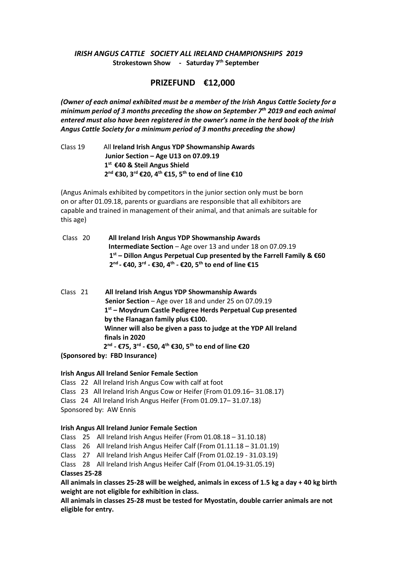#### *IRISH ANGUS CATTLE SOCIETY ALL IRELAND CHAMPIONSHIPS 2019* **Strokestown Show - Saturday 7 th September**

### **PRIZEFUND €12,000**

*(Owner of each animal exhibited must be a member of the Irish Angus Cattle Society for a minimum period of 3 months preceding the show on September 7 th 2019 and each animal entered must also have been registered in the owner's name in the herd book of the Irish Angus Cattle Society for a minimum period of 3 months preceding the show)* 

Class 19 All **Ireland Irish Angus YDP Showmanship Awards Junior Section – Age U13 on 07.09.19 1 st €40 & Steil Angus Shield 2 nd €30, 3rd €20, 4th €15, 5th to end of line €10**

(Angus Animals exhibited by competitors in the junior section only must be born on or after 01.09.18, parents or guardians are responsible that all exhibitors are capable and trained in management of their animal, and that animals are suitable for this age)

- Class 20 **All Ireland Irish Angus YDP Showmanship Awards Intermediate Section** – Age over 13 and under 18 on 07.09.19 **1 st – Dillon Angus Perpetual Cup presented by the Farrell Family & €60 2 nd - €40, 3rd - €30, 4th - €20, 5th to end of line €15**
- Class 21 **All Ireland Irish Angus YDP Showmanship Awards Senior Section** – Age over 18 and under 25 on 07.09.19 **1 st – Moydrum Castle Pedigree Herds Perpetual Cup presented by the Flanagan family plus €100. Winner will also be given a pass to judge at the YDP All Ireland finals in 2020 2 nd - €75, 3rd - €50, 4th €30, 5th to end of line €20**

**(Sponsored by: FBD Insurance)** 

**Irish Angus All Ireland Senior Female Section** 

Class 22 All Ireland Irish Angus Cow with calf at foot

Class 23 All Ireland Irish Angus Cow or Heifer (From 01.09.16– 31.08.17)

Class 24 All Ireland Irish Angus Heifer (From 01.09.17– 31.07.18)

Sponsored by: AW Ennis

#### **Irish Angus All Ireland Junior Female Section**

Class 25 All Ireland Irish Angus Heifer (From 01.08.18 – 31.10.18)

Class 26 All Ireland Irish Angus Heifer Calf (From 01.11.18 – 31.01.19)

Class 27 All Ireland Irish Angus Heifer Calf (From 01.02.19 - 31.03.19)

Class 28 All Ireland Irish Angus Heifer Calf (From 01.04.19-31.05.19)

**Classes 25-28** 

**All animals in classes 25-28 will be weighed, animals in excess of 1.5 kg a day + 40 kg birth weight are not eligible for exhibition in class.**

**All animals in classes 25-28 must be tested for Myostatin, double carrier animals are not eligible for entry.**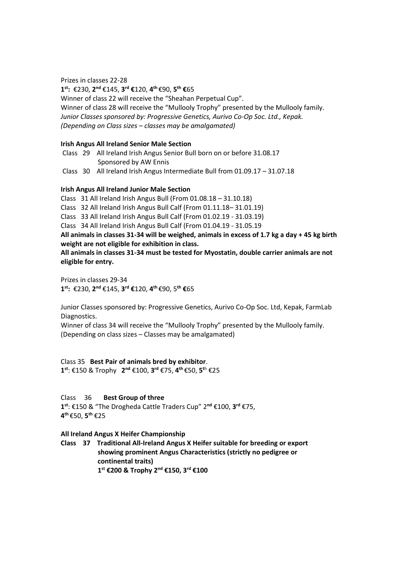Prizes in classes 22-28 **1 st:** €230, **2 nd** €145, **3 rd €**120, **4 th** €90, **5 th €**65 Winner of class 22 will receive the "Sheahan Perpetual Cup". Winner of class 28 will receive the "Mullooly Trophy" presented by the Mullooly family. *Junior Classes sponsored by: Progressive Genetics, Aurivo Co-Op Soc. Ltd., Kepak. (Depending on Class sizes – classes may be amalgamated)*

#### **Irish Angus All Ireland Senior Male Section**

- Class 29 All Ireland Irish Angus Senior Bull born on or before 31.08.17 Sponsored by AW Ennis
- Class 30 All Ireland Irish Angus Intermediate Bull from 01.09.17 31.07.18

#### **Irish Angus All Ireland Junior Male Section**

Class 31 All Ireland Irish Angus Bull (From 01.08.18 – 31.10.18)

Class 32 All Ireland Irish Angus Bull Calf (From 01.11.18– 31.01.19)

Class 33 All Ireland Irish Angus Bull Calf (From 01.02.19 - 31.03.19)

Class 34 All Ireland Irish Angus Bull Calf (From 01.04.19 - 31.05.19

**All animals in classes 31-34 will be weighed, animals in excess of 1.7 kg a day + 45 kg birth weight are not eligible for exhibition in class.**

**All animals in classes 31-34 must be tested for Myostatin, double carrier animals are not eligible for entry.**

Prizes in classes 29-34 **1 st:** €230, **2 nd** €145, **3 rd €**120, **4 th** €90, 5**th €**65

Junior Classes sponsored by: Progressive Genetics, Aurivo Co-Op Soc. Ltd, Kepak, FarmLab Diagnostics.

Winner of class 34 will receive the "Mullooly Trophy" presented by the Mullooly family. (Depending on class sizes – Classes may be amalgamated)

Class 35 **Best Pair of animals bred by exhibitor**. **1 st**: €150 & Trophy **2 nd** €100, **3 rd** €75, **4 th** €50, **5 <sup>t</sup>**<sup>h</sup> €25

Class 36 **Best Group of three**

**1 st**: €150 & "The Drogheda Cattle Traders Cup" 2**nd** €100, **3 rd** €75, **4 th** €50, **5 th** €25

#### **All Ireland Angus X Heifer Championship**

**Class 37 Traditional All-Ireland Angus X Heifer suitable for breeding or export showing prominent Angus Characteristics (strictly no pedigree or continental traits) 1 st €200 & Trophy 2nd €150, 3rd €100**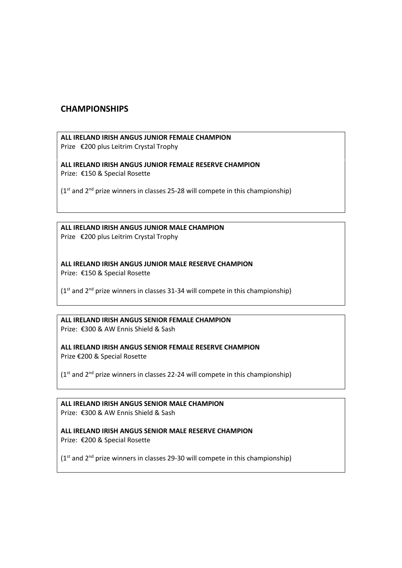### **CHAMPIONSHIPS**

# **ALL IRELAND IRISH ANGUS JUNIOR FEMALE CHAMPION**

Prize €200 plus Leitrim Crystal Trophy

**ALL IRELAND IRISH ANGUS JUNIOR FEMALE RESERVE CHAMPION** Prize: €150 & Special Rosette

 $(1<sup>st</sup>$  and  $2<sup>nd</sup>$  prize winners in classes 25-28 will compete in this championship)

**ALL IRELAND IRISH ANGUS JUNIOR MALE CHAMPION** Prize €200 plus Leitrim Crystal Trophy

**ALL IRELAND IRISH ANGUS JUNIOR MALE RESERVE CHAMPION** Prize: €150 & Special Rosette

 $(1<sup>st</sup>$  and  $2<sup>nd</sup>$  prize winners in classes 31-34 will compete in this championship)

**ALL IRELAND IRISH ANGUS SENIOR FEMALE CHAMPION** Prize: €300 & AW Ennis Shield & Sash

**ALL IRELAND IRISH ANGUS SENIOR FEMALE RESERVE CHAMPION** Prize €200 & Special Rosette

 $(1<sup>st</sup>$  and  $2<sup>nd</sup>$  prize winners in classes 22-24 will compete in this championship)

**ALL IRELAND IRISH ANGUS SENIOR MALE CHAMPION** Prize: €300 & AW Ennis Shield & Sash

**ALL IRELAND IRISH ANGUS SENIOR MALE RESERVE CHAMPION**  Prize: €200 & Special Rosette

(1<sup>st</sup> and 2<sup>nd</sup> prize winners in classes 29-30 will compete in this championship)